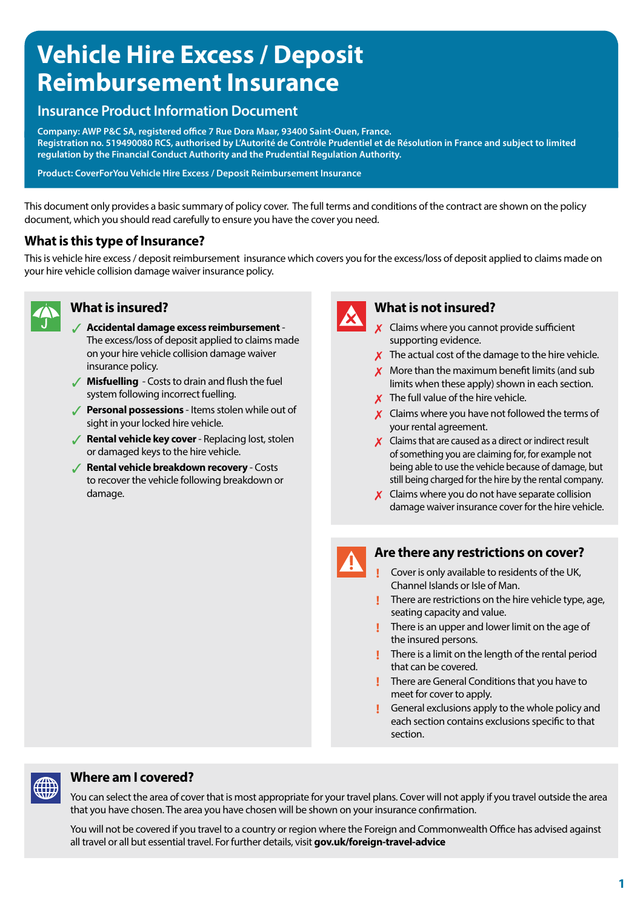# **Vehicle Hire Excess / Deposit Reimbursement Insurance**

### **Insurance Product Information Document**

**Company: AWP P&C SA, registered office 7 Rue Dora Maar, 93400 Saint-Ouen, France. Registration no. 519490080 RCS, authorised by L'Autorité de Contrôle Prudentiel et de Résolution in France and subject to limited regulation by the Financial Conduct Authority and the Prudential Regulation Authority.** 

**Product: CoverForYou Vehicle Hire Excess / Deposit Reimbursement Insurance** 

This document only provides a basic summary of policy cover. The full terms and conditions of the contract are shown on the policy document, which you should read carefully to ensure you have the cover you need.

#### **What is this type of Insurance?**

This is vehicle hire excess / deposit reimbursement insurance which covers you for the excess/loss of deposit applied to claims made on your hire vehicle collision damage waiver insurance policy.



- 3 **Accidental damage excess reimbursement** The excess/loss of deposit applied to claims made on your hire vehicle collision damage waiver insurance policy.
- **Misfuelling** Costs to drain and flush the fuel system following incorrect fuelling.
- **Personal possessions** Items stolen while out of sight in your locked hire vehicle.
- **6 Rental vehicle key cover** Replacing lost, stolen or damaged keys to the hire vehicle.
- 3 **Rental vehicle breakdown recovery**  Costs to recover the vehicle following breakdown or damage.



### **What is insured? What is not insured?**

- 7 Claims where you cannot provide sufficient supporting evidence.
- $\boldsymbol{\chi}$  The actual cost of the damage to the hire vehicle.
- $\boldsymbol{X}$  More than the maximum benefit limits (and sub limits when these apply) shown in each section.
- $\boldsymbol{X}$  The full value of the hire vehicle.
- $\boldsymbol{\chi}$  Claims where you have not followed the terms of your rental agreement.
- $\boldsymbol{X}$  Claims that are caused as a direct or indirect result of something you are claiming for, for example not being able to use the vehicle because of damage, but still being charged for the hire by the rental company.
- $\boldsymbol{\chi}$  Claims where you do not have separate collision damage waiver insurance cover for the hire vehicle.

#### **Are there any restrictions on cover?**

- **!** Cover is only available to residents of the UK, Channel Islands or Isle of Man.
- **!** There are restrictions on the hire vehicle type, age, seating capacity and value.
- **!** There is an upper and lower limit on the age of the insured persons.
- **!** There is a limit on the length of the rental period that can be covered.
- **!** There are General Conditions that you have to meet for cover to apply.
- **!** General exclusions apply to the whole policy and each section contains exclusions specific to that section.

## **Where am I covered?**

You can select the area of cover that is most appropriate for your travel plans. Cover will not apply if you travel outside the area that you have chosen. The area you have chosen will be shown on your insurance confirmation.

You will not be covered if you travel to a country or region where the Foreign and Commonwealth Office has advised against all travel or all but essential travel. For further details, visit **gov.uk/foreign-travel-advice**